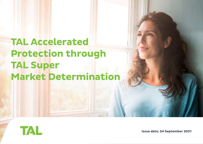## **TAL Accelerated Protection through TAL Super Market Determination**



**Issue date: 24 September 2021**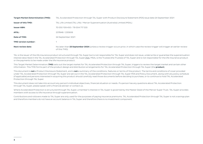| <b>Target Market Determination (TMD):</b> | TAL Accelerated Protection through TAL Super with Product Disclosure Statement (PDS) issue date 24 September 2021                                       |  |
|-------------------------------------------|---------------------------------------------------------------------------------------------------------------------------------------------------------|--|
| <b>Issuer of this TMD:</b>                | TAL Life Limited (TAL Life) / Mercer Superannuation (Australia) Limited (MSAL)                                                                          |  |
| <b>Issuer ABN:</b>                        | 70 050 109 450 / 79 004 717 533                                                                                                                         |  |
| AFSL:                                     | 237848 / 235906                                                                                                                                         |  |
| Date of TMD:                              | 24 September 2021                                                                                                                                       |  |
| <b>TMD version number:</b>                |                                                                                                                                                         |  |
| Next review date:                         | No later than 23 September 2024 (unless a review trigger occurs prior, in which case the review trigger will trigger an earlier review<br>of this TMD). |  |

TAL is the issuer of the life insurance product structured through TAL Super but is not responsible for TAL Super and does not issue, underwrite or guarantee the superannuation interest described in the TAL Accelerated Protection through TAL Super [PDS](https://www.tal.com.au/about-us/pds-archive). MSAL is the Trustee (the Trustee) of TAL Super and is not responsible for the life insurance product or the payments to be made under the life insurance product.

This Target Market Determination (**TMD**) sets out the target market for TAL Accelerated Protection through TAL Super, triggers to review the target market and certain other information. This TMD forms part of the product design and distribution arrangements for TAL Accelerated Protection through TAL Super (the **product**).

This document is **not** a Product Disclosure Statement, and is **not** a summary of the conditions, features or terms of the product. The terms and conditions of cover provided under TAL Accelerated Protection through TAL Super are set out in the TAL Accelerated Protection through TAL Super PDS and Policy Document, along with any policy schedule (if applicable) and persons interested in acquiring this product should carefully read those documents before deciding to purchase, or to continue to hold TAL Accelerated Protection through TAL Super.

This document does not take into account any person's individual objectives, financial situation or needs. If a person has any questions about TAL Accelerated Protection through TAL Super, please speak with a financial adviser or contact us.

Where Accelerated Protection is structured through TAL Super, a member's interest in TAL Super is governed by the Master Deed of the Mercer Super Trust. TAL Super provides members with access to life insurance through superannuation.

Contributions and rollovers made to TAL Super are only used for the purposes of paying insurance premiums. TAL Accelerated Protection through TAL Super is not a savings plan and therefore members do not have an account balance in TAL Super and therefore there is no investment component.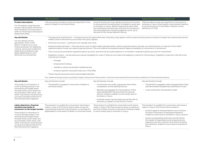|                                                                                                                                                                                                                                                                       | <b>Life Insurance</b>                                                                                                                                                                                                                                                                      | <b>Income Protection</b>                                                                                                                                                                                                                                       | <b>Total and Permanent Disablement</b>                                                                                                                                                                 |  |  |
|-----------------------------------------------------------------------------------------------------------------------------------------------------------------------------------------------------------------------------------------------------------------------|--------------------------------------------------------------------------------------------------------------------------------------------------------------------------------------------------------------------------------------------------------------------------------------------|----------------------------------------------------------------------------------------------------------------------------------------------------------------------------------------------------------------------------------------------------------------|--------------------------------------------------------------------------------------------------------------------------------------------------------------------------------------------------------|--|--|
| <b>Product description</b>                                                                                                                                                                                                                                            | Life Insurance provides a lump sum payment in the<br>event of death or terminal illness.                                                                                                                                                                                                   | Income Protection may replace a portion of income                                                                                                                                                                                                              | TPD provides a lump sum payment in the event of<br>sickness or injury that results in permanent inability<br>to work (as set out in the PDS in relation to the<br>definition of TPD).                  |  |  |
| For full details regarding the<br>product description and terms<br>and conditions of this product,<br>refer to the Product Disclosure<br>Statement (PDS).                                                                                                             |                                                                                                                                                                                                                                                                                            | in the event an insured person is unable to work due<br>to sickness or injury. Benefit payments start after<br>the waiting period and may continue for the period<br>the insured person remains unable to work, up to<br>the end of the chosen Benefit Period. |                                                                                                                                                                                                        |  |  |
| <b>Key attributes</b><br>For full details on key<br>attributes, refer to the<br>PDS or contact us or your<br>financial adviser for eligibility<br>criteria, terms and conditions.<br>Additional limitations may<br>apply depending on your<br>personal circumstances. | · The payment of premiums – if premiums are not paid when due, the policy may lapse in which case the policyowner would no longer be covered and cannot<br>make a claim if the event occurs after the policy lapses.<br>$\cdot$ Premium structure – premiums can change over time.         |                                                                                                                                                                                                                                                                |                                                                                                                                                                                                        |  |  |
|                                                                                                                                                                                                                                                                       | • Superannuation Erosion - this insurance cover is held inside superannuation where superannuation savings, via contributions or rollovers from other<br>superannuation funds, are used to pay premiums. This will reduce the superannuation balance available to consumers in retirement. |                                                                                                                                                                                                                                                                |                                                                                                                                                                                                        |  |  |
|                                                                                                                                                                                                                                                                       | · This is not an accumulation superannuation account, and will not provide a balance in a member's superannuation account for retirement.                                                                                                                                                  |                                                                                                                                                                                                                                                                |                                                                                                                                                                                                        |  |  |
|                                                                                                                                                                                                                                                                       | Eligibility criteria - certain persons may be ineligible for cover if they do not meet the eligibility criteria for this product. Eligibility criteria for the life to be<br>insured can include:                                                                                          |                                                                                                                                                                                                                                                                |                                                                                                                                                                                                        |  |  |
|                                                                                                                                                                                                                                                                       | - the age,                                                                                                                                                                                                                                                                                 |                                                                                                                                                                                                                                                                |                                                                                                                                                                                                        |  |  |
|                                                                                                                                                                                                                                                                       | - employment status,                                                                                                                                                                                                                                                                       |                                                                                                                                                                                                                                                                |                                                                                                                                                                                                        |  |  |
|                                                                                                                                                                                                                                                                       | - residency status (Australian residents) and                                                                                                                                                                                                                                              |                                                                                                                                                                                                                                                                |                                                                                                                                                                                                        |  |  |
|                                                                                                                                                                                                                                                                       | - product specific exclusions (set out in the PDS).                                                                                                                                                                                                                                        |                                                                                                                                                                                                                                                                |                                                                                                                                                                                                        |  |  |
|                                                                                                                                                                                                                                                                       | • There may be exclusions and customisable benefits.                                                                                                                                                                                                                                       |                                                                                                                                                                                                                                                                |                                                                                                                                                                                                        |  |  |
|                                                                                                                                                                                                                                                                       | Our underwriting process could also impact the price of the product, the sum insured and the terms and conditions of the insurance policy.                                                                                                                                                 |                                                                                                                                                                                                                                                                |                                                                                                                                                                                                        |  |  |
| <b>Key attributes</b>                                                                                                                                                                                                                                                 | Key attributes include                                                                                                                                                                                                                                                                     | Key attributes include                                                                                                                                                                                                                                         | Key attributes include                                                                                                                                                                                 |  |  |
| This product is insurance. It<br>is not a savings product. No<br>refunds are provided when<br>the plan ends, and it does not<br>accumulate a cash value. Like<br>other insurances, the premium<br>you pay provides protection if<br>the insured event happens.        | . The benefit is payable in the event of death or<br>terminal illness.                                                                                                                                                                                                                     | . In the event of a claim, payments start after<br>completion of the Waiting Period.                                                                                                                                                                           | $\cdot$ The benefit is payable when the applicable Total<br>and Permanent Disablement definition is met.                                                                                               |  |  |
|                                                                                                                                                                                                                                                                       |                                                                                                                                                                                                                                                                                            | • Benefits are payable for the duration of the<br>specified Benefit Period while the insured<br>person remains unable to work solely due to<br>sickness or injury.                                                                                             | $\cdot$ Cover ends after the benefit is paid.                                                                                                                                                          |  |  |
|                                                                                                                                                                                                                                                                       |                                                                                                                                                                                                                                                                                            | $\cdot$ Multiple claims can be made during the life of<br>the policy, subject to the limits of cover.                                                                                                                                                          |                                                                                                                                                                                                        |  |  |
| Likely obiectives, financial<br>situation and needs of                                                                                                                                                                                                                | This product is suitable for consumers who have a<br>need, or may in the future have a need, to pay for<br>consumers in the target market outstanding financial commitments, or provide for<br>dependants in the event of death or terminal illness.                                       | This product is suitable for consumers who have a<br>need, or may in the future have a need, to replace a<br>portion of their income in the event of being unable<br>to work solely due to sickness or injury.                                                 | This product is suitable for consumers who have a<br>need, or may in the future have a need to:                                                                                                        |  |  |
| This product is insurance. It<br>is not a savings product. No<br>refunds are provided when<br>the plan ends, and it does not<br>accumulate a cash value. Like<br>other insurances, the premium<br>you pay provides protection if<br>the insured event happens.        |                                                                                                                                                                                                                                                                                            |                                                                                                                                                                                                                                                                | $\cdot$ protect against the permanent loss of future<br>income in the event of being permanently<br>unable to work due to sickness or injury, and/or;                                                  |  |  |
|                                                                                                                                                                                                                                                                       |                                                                                                                                                                                                                                                                                            |                                                                                                                                                                                                                                                                | . ensure outstanding financial commitments,<br>the needs of dependants and ongoing living<br>expenses can be covered in the event of being<br>permanently unable to work due to sickness or<br>injury. |  |  |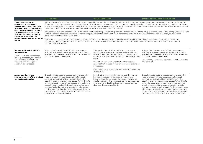|                                                                                                                                                                                                                                                                                                           | <b>Life Insurance</b>                                                                                                                                                                                                                                                                                                                                                                                                                                                                                                                                                            | <b>Income Protection</b>                                                                                                                                                                                                                                                                      | <b>Total and Permanent Disablement</b>                                                                                                                                                                                                                                                                                                                                                                                                                                                                                              |  |  |
|-----------------------------------------------------------------------------------------------------------------------------------------------------------------------------------------------------------------------------------------------------------------------------------------------------------|----------------------------------------------------------------------------------------------------------------------------------------------------------------------------------------------------------------------------------------------------------------------------------------------------------------------------------------------------------------------------------------------------------------------------------------------------------------------------------------------------------------------------------------------------------------------------------|-----------------------------------------------------------------------------------------------------------------------------------------------------------------------------------------------------------------------------------------------------------------------------------------------|-------------------------------------------------------------------------------------------------------------------------------------------------------------------------------------------------------------------------------------------------------------------------------------------------------------------------------------------------------------------------------------------------------------------------------------------------------------------------------------------------------------------------------------|--|--|
| <b>Financial situation of</b><br>consumers in the target<br>market which describes their<br>financial capacity to meet the<br>cost to consumers of retaining<br><b>TAL Accelerated Protection</b><br>through TAL Super including<br>any intention to hold the<br>product cover over an extended<br>period | TAL Accelerated Protection through TAL Super is suitable for members who wish to fund their insurance through superannuation and do not intend to use TAL<br>Super to accumulate wealth for retirement or hold investment options as part of their superannuation product. Contributions and rollovers made to TAL Super<br>are only used for the purposes of paying insurance premiums. TAL Accelerated Protection through TAL Super is not a savings plan and therefore members do not<br>have an account balance in TAL Super and therefore there is no investment component. |                                                                                                                                                                                                                                                                                               |                                                                                                                                                                                                                                                                                                                                                                                                                                                                                                                                     |  |  |
|                                                                                                                                                                                                                                                                                                           | This product is suitable for consumers who have the financial capacity to pay premiums at their selected frequency (premiums can and do change) in accordance<br>with the chosen premium structure to retain the product for the period of time it is intended to be held. Income Protection requires that you are in paid<br>employment at the time of application.                                                                                                                                                                                                             |                                                                                                                                                                                                                                                                                               |                                                                                                                                                                                                                                                                                                                                                                                                                                                                                                                                     |  |  |
|                                                                                                                                                                                                                                                                                                           | Consumers in the target market may pay the cost of premiums directly or they may choose to fund the cost of coverage partly or wholly through the<br>consumer's superannuation savings. Where superannuation savings are used to pay premiums this will reduce the superannuation balance available to<br>consumers in retirement.                                                                                                                                                                                                                                               |                                                                                                                                                                                                                                                                                               |                                                                                                                                                                                                                                                                                                                                                                                                                                                                                                                                     |  |  |
| Demographic and eligibility<br>requirements<br>For all products, acceptance<br>is not guaranteed, and certain<br>exclusions and limitations<br>may apply following our<br>underwriting process.                                                                                                           | This product would be suitable for consumers<br>within the relevant age requirements of 16 to 75<br>age next birthday and have the financial capacity to<br>fund the costs of their cover.                                                                                                                                                                                                                                                                                                                                                                                       | This product would be suitable for consumers<br>within the relevant age requirements of 19 to 60<br>age next birthday (depending on occupation) and<br>have the financial capacity to fund the costs of their<br>cover.<br>In addition, for Income Protection this product                    | This product would be suitable for consumers<br>within the relevant age requirements of 16 to 62<br>age next birthday and have the financial capacity to<br>fund the costs of their cover.<br>Redundancy and unemployment are not covered by<br>this product.                                                                                                                                                                                                                                                                       |  |  |
|                                                                                                                                                                                                                                                                                                           |                                                                                                                                                                                                                                                                                                                                                                                                                                                                                                                                                                                  | requires that you are in paid employment at time of<br>application.<br>Redundancy and unemployment are not covered by<br>this product.                                                                                                                                                        |                                                                                                                                                                                                                                                                                                                                                                                                                                                                                                                                     |  |  |
| An explanation of the<br>appropriateness of the product<br>for the target market                                                                                                                                                                                                                          | Broadly, the target market comprises those who<br>have or expect to have outstanding financial<br>commitments that will not be satisfied in the<br>event of their own or another person's (i.e. the life<br>insured's) death or terminal illness and who have a<br>capacity to pay potentially variable premiums on<br>an ongoing basis. As the product pays a lump sum<br>on death or terminal illness it is therefore likely to<br>meet the needs, or go towards meeting the needs,<br>of those in the target market.                                                          | Broadly, the target market comprises those who<br>have or expect to have a need to replace their<br>income should they be unable to earn an income<br>due to an event which causes them to be unable to<br>earn their pre-disability income, whether due to<br>sickness, illness or accident. | Broadly, the target market comprises those who<br>have or expect to have outstanding financial<br>commitments that will not be satisfied in the<br>event of their own or another person's (i.e. the life<br>insured's) total and permanent disablement and<br>who have a capacity to pay potentially variable<br>premiums on an ongoing basis. As the product pays<br>a lump sum on total and permanent disablement it<br>is therefore likely to meet the needs, or go towards<br>meeting the needs, of those in the target market. |  |  |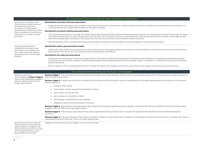|                                                                                                                                                                                                                                          | TAL Accelerated Protection through TAL Super distribution requirements                                                                                                                                                                                                                                                                                                                                                                        |
|------------------------------------------------------------------------------------------------------------------------------------------------------------------------------------------------------------------------------------------|-----------------------------------------------------------------------------------------------------------------------------------------------------------------------------------------------------------------------------------------------------------------------------------------------------------------------------------------------------------------------------------------------------------------------------------------------|
| Specify any conditions and<br>restrictions on retail product<br>distribution conducted<br>in relation to the product<br>(distribution conditions), other<br>than a condition or restriction<br>imposed by or under another<br>provision. | Distribution of product with personal advice                                                                                                                                                                                                                                                                                                                                                                                                  |
|                                                                                                                                                                                                                                          | · Financial advisers are required to consider a customer's personal circumstances, needs and objectives when making a recommendation to purchase or to<br>continue to hold TAL Accelerated Protection through TAL Super.                                                                                                                                                                                                                      |
|                                                                                                                                                                                                                                          | Distribution of product without personal advice                                                                                                                                                                                                                                                                                                                                                                                               |
|                                                                                                                                                                                                                                          | · TAL Accelerated Protection through TAL Super may be distributed without personal financial product advice (TAL Accelerated Protection through TAL Super<br>may be purchased online or over the phone in this manner). For distribution without personal advice, distributors should have in place, where appropriate,<br>processes as applicable, relating to call scripts (e.g. call centres), training, monitoring and quality assurance. |
|                                                                                                                                                                                                                                          | · Certain features of TAL Accelerated Protection through TAL Super are not available for certain straight through online purchases.                                                                                                                                                                                                                                                                                                           |
| Why these distribution<br>conditions and restrictions<br>will make it more likely that<br>the consumers who take up<br>the product are in the target<br>market.                                                                          | Distribution under a personal advice model                                                                                                                                                                                                                                                                                                                                                                                                    |
|                                                                                                                                                                                                                                          | • Consumers that obtain personal advice are more likely to be in the target market for this product because advisers have a duty to act in their best interest<br>and consider their personal circumstances when providing personal advice.                                                                                                                                                                                                   |
|                                                                                                                                                                                                                                          | Distribution not under personal advice                                                                                                                                                                                                                                                                                                                                                                                                        |
|                                                                                                                                                                                                                                          | • Consumers are more likely to be in the target market if distributors distribute the product in alignment with the issuer's distribution conditions relating<br>to the relevant distribution channel, including where applicable and appropriate having processes in place in relation to scripting, training, monitoring and<br>quality assurance.                                                                                          |
|                                                                                                                                                                                                                                          | · Entry criteria for TAL Accelerated Protection through TAL Super will broadly control how consumers in the target market may access the product.                                                                                                                                                                                                                                                                                             |
|                                                                                                                                                                                                                                          | TAL Accelerated Protection through TAL Super review triggers                                                                                                                                                                                                                                                                                                                                                                                  |
| Specify events and                                                                                                                                                                                                                       | Review trigger 1: The commencement of a significant change in law that materially affects the product design, distribution of the product or class of products                                                                                                                                                                                                                                                                                |
| circumstances (review triggers)                                                                                                                                                                                                          | that includes this product.                                                                                                                                                                                                                                                                                                                                                                                                                   |
| that would reasonably suggest<br>that the determination is no<br>longer appropriate.                                                                                                                                                     | Review trigger 2: Product performance is materially inconsistent with the product issuer's expectations of the appropriateness of the product to consumers<br>having regard to:                                                                                                                                                                                                                                                               |
|                                                                                                                                                                                                                                          | a. product claim ratios                                                                                                                                                                                                                                                                                                                                                                                                                       |
|                                                                                                                                                                                                                                          | b. the number of paid, denied and withdrawn claims                                                                                                                                                                                                                                                                                                                                                                                            |
|                                                                                                                                                                                                                                          | c. the number of policies sold                                                                                                                                                                                                                                                                                                                                                                                                                |
|                                                                                                                                                                                                                                          | d. policy lapse or cancellation rates                                                                                                                                                                                                                                                                                                                                                                                                         |
|                                                                                                                                                                                                                                          | e. percentage of applications not accepted                                                                                                                                                                                                                                                                                                                                                                                                    |
|                                                                                                                                                                                                                                          | f. eligibility requirements at inception of policy.                                                                                                                                                                                                                                                                                                                                                                                           |
|                                                                                                                                                                                                                                          | Review trigger 3: Significant or unexpectedly high number of complaints regarding product design, claims and distribution conditions that would reasonably<br>suggest that this TMD is no longer appropriate.                                                                                                                                                                                                                                 |
|                                                                                                                                                                                                                                          | Review trigger 4: The product issuer determines that a significant dealing in the product outside the target market (except for an excluded dealing) has<br>occurred.                                                                                                                                                                                                                                                                         |
|                                                                                                                                                                                                                                          | Review trigger 5: The use of Product Intervention Powers in relation to the distribution or design of this product where the product issuer considers this to be a<br>reasonable indication that this TMD is no longer appropriate.                                                                                                                                                                                                           |
| Specify the maximum period<br>from the start of the day the<br>determination is made to the<br>start of the day the first review<br>of the determination under                                                                           | Subject to intervening review triggers, no more than 3 years.                                                                                                                                                                                                                                                                                                                                                                                 |

section 994C is to finish.